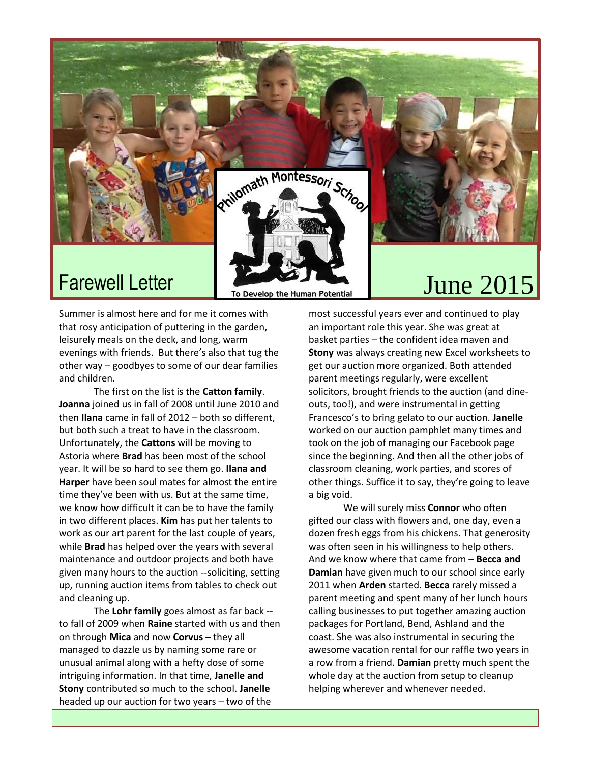

Summer is almost here and for me it comes with that rosy anticipation of puttering in the garden, leisurely meals on the deck, and long, warm evenings with friends. But there's also that tug the other way – goodbyes to some of our dear families and children.

The first on the list is the **Catton family**. **Joanna** joined us in fall of 2008 until June 2010 and then **Ilana** came in fall of 2012 – both so different, but both such a treat to have in the classroom. Unfortunately, the **Cattons** will be moving to Astoria where **Brad** has been most of the school year. It will be so hard to see them go. **Ilana and Harper** have been soul mates for almost the entire time they've been with us. But at the same time, we know how difficult it can be to have the family in two different places. **Kim** has put her talents to work as our art parent for the last couple of years, while **Brad** has helped over the years with several maintenance and outdoor projects and both have given many hours to the auction --soliciting, setting up, running auction items from tables to check out and cleaning up.

The **Lohr family** goes almost as far back - to fall of 2009 when **Raine** started with us and then on through **Mica** and now **Corvus –** they all managed to dazzle us by naming some rare or unusual animal along with a hefty dose of some intriguing information. In that time, **Janelle and Stony** contributed so much to the school. **Janelle**  headed up our auction for two years – two of the

most successful years ever and continued to play an important role this year. She was great at basket parties – the confident idea maven and **Stony** was always creating new Excel worksheets to get our auction more organized. Both attended parent meetings regularly, were excellent solicitors, brought friends to the auction (and dineouts, too!), and were instrumental in getting Francesco's to bring gelato to our auction. **Janelle** worked on our auction pamphlet many times and took on the job of managing our Facebook page since the beginning. And then all the other jobs of classroom cleaning, work parties, and scores of other things. Suffice it to say, they're going to leave a big void.

We will surely miss **Connor** who often gifted our class with flowers and, one day, even a dozen fresh eggs from his chickens. That generosity was often seen in his willingness to help others. And we know where that came from – **Becca and Damian** have given much to our school since early 2011 when **Arden** started. **Becca** rarely missed a parent meeting and spent many of her lunch hours calling businesses to put together amazing auction packages for Portland, Bend, Ashland and the coast. She was also instrumental in securing the awesome vacation rental for our raffle two years in a row from a friend. **Damian** pretty much spent the whole day at the auction from setup to cleanup helping wherever and whenever needed.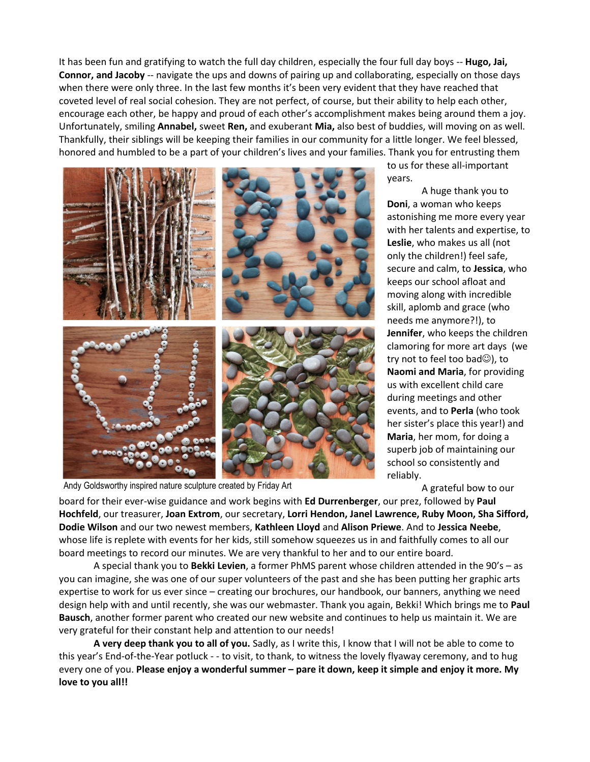It has been fun and gratifying to watch the full day children, especially the four full day boys -- **Hugo, Jai, Connor, and Jacoby** -- navigate the ups and downs of pairing up and collaborating, especially on those days when there were only three. In the last few months it's been very evident that they have reached that coveted level of real social cohesion. They are not perfect, of course, but their ability to help each other, encourage each other, be happy and proud of each other's accomplishment makes being around them a joy. Unfortunately, smiling **Annabel,** sweet **Ren,** and exuberant **Mia,** also best of buddies, will moving on as well. Thankfully, their siblings will be keeping their families in our community for a little longer. We feel blessed, honored and humbled to be a part of your children's lives and your families. Thank you for entrusting them



Andy Goldsworthy inspired nature sculpture created by Friday Art

to us for these all-important years.

A huge thank you to **Doni**, a woman who keeps astonishing me more every year with her talents and expertise, to **Leslie**, who makes us all (not only the children!) feel safe, secure and calm, to **Jessica**, who keeps our school afloat and moving along with incredible skill, aplomb and grace (who needs me anymore?!), to **Jennifer**, who keeps the children clamoring for more art days (we try not to feel too bad $\circledcirc$ ), to **Naomi and Maria**, for providing us with excellent child care during meetings and other events, and to **Perla** (who took her sister's place this year!) and **Maria**, her mom, for doing a superb job of maintaining our school so consistently and reliably.

A grateful bow to our

board for their ever-wise guidance and work begins with **Ed Durrenberger**, our prez, followed by **Paul**  Class.**Hochfeld**, our treasurer, **Joan Extrom**, our secretary, **Lorri Hendon, Janel Lawrence, Ruby Moon, Sha Sifford, Dodie Wilson** and our two newest members, **Kathleen Lloyd** and **Alison Priewe**. And to **Jessica Neebe**, whose life is replete with events for her kids, still somehow squeezes us in and faithfully comes to all our board meetings to record our minutes. We are very thankful to her and to our entire board.

A special thank you to **Bekki Levien**, a former PhMS parent whose children attended in the 90's – as you can imagine, she was one of our super volunteers of the past and she has been putting her graphic arts expertise to work for us ever since – creating our brochures, our handbook, our banners, anything we need design help with and until recently, she was our webmaster. Thank you again, Bekki! Which brings me to **Paul Bausch**, another former parent who created our new website and continues to help us maintain it. We are very grateful for their constant help and attention to our needs!

**A very deep thank you to all of you.** Sadly, as I write this, I know that I will not be able to come to this year's End-of-the-Year potluck - - to visit, to thank, to witness the lovely flyaway ceremony, and to hug every one of you. **Please enjoy a wonderful summer – pare it down, keep it simple and enjoy it more. My love to you all!!**